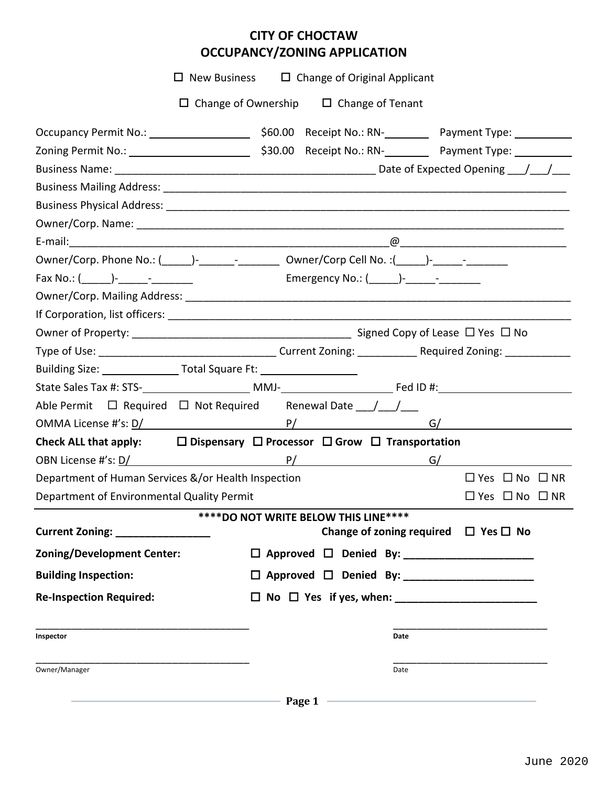## **CITY OF CHOCTAW OCCUPANCY/ZONING APPLICATION**

|                                                     | $\square$ New Business<br>$\Box$ Change of Original Applicant                                       |
|-----------------------------------------------------|-----------------------------------------------------------------------------------------------------|
|                                                     | $\Box$ Change of Ownership $\Box$ Change of Tenant                                                  |
|                                                     |                                                                                                     |
|                                                     | Zoning Permit No.: 11.1200 [10] S30.00 Receipt No.: RN-11 [20] Payment Type: 2012                   |
|                                                     |                                                                                                     |
|                                                     |                                                                                                     |
|                                                     |                                                                                                     |
|                                                     |                                                                                                     |
|                                                     |                                                                                                     |
|                                                     | Owner/Corp. Phone No.: (______)-____________________ Owner/Corp Cell No. :(______)-______-_________ |
|                                                     | Emergency No.: $(\_\_\_\$ )-___________                                                             |
|                                                     |                                                                                                     |
|                                                     |                                                                                                     |
|                                                     |                                                                                                     |
|                                                     |                                                                                                     |
|                                                     |                                                                                                     |
|                                                     |                                                                                                     |
|                                                     | Able Permit $\Box$ Required $\Box$ Not Required Renewal Date $\Box$                                 |
|                                                     | OMMA License #'s: $D/$ P/<br>G/                                                                     |
|                                                     | Check ALL that apply: $\Box$ Dispensary $\Box$ Processor $\Box$ Grow $\Box$ Transportation          |
|                                                     | OBN License #'s: $D/$ P/<br>G/                                                                      |
| Department of Human Services &/or Health Inspection | $\Box$ Yes $\Box$ No $\Box$ NR                                                                      |
| Department of Environmental Quality Permit          | $\Box$ Yes $\Box$ No $\Box$ NR                                                                      |
|                                                     | **** DO NOT WRITE BELOW THIS LINE****                                                               |
| Current Zoning: ________________                    | Change of zoning required $\Box$ Yes $\Box$ No                                                      |
| <b>Zoning/Development Center:</b>                   | $\Box$ Approved $\Box$ Denied By: ________________________                                          |
| <b>Building Inspection:</b>                         |                                                                                                     |
| <b>Re-Inspection Required:</b>                      |                                                                                                     |
| Inspector                                           | Date                                                                                                |
| Owner/Manager                                       | Date                                                                                                |
|                                                     | $\longrightarrow$ Page 1 $\longrightarrow$                                                          |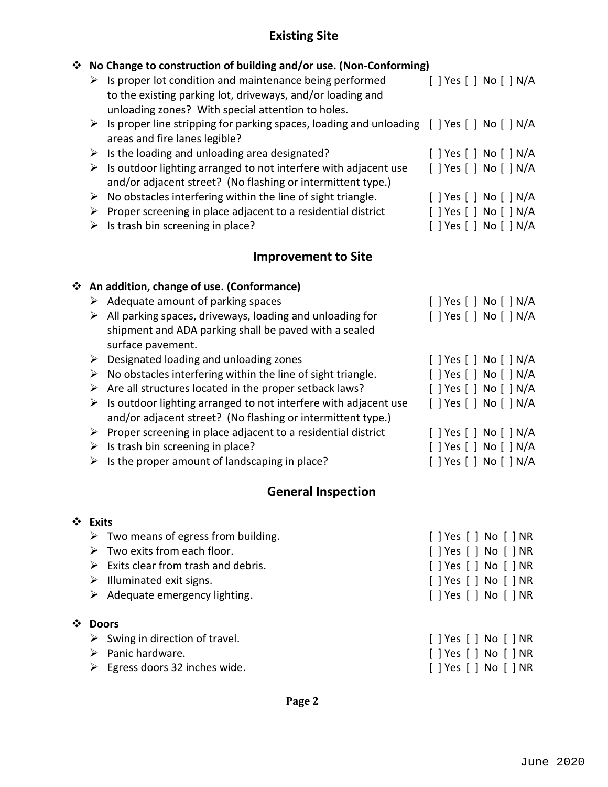# **Existing Site**

|   | ❖ No Change to construction of building and/or use. (Non-Conforming)<br>$\triangleright$ Is proper lot condition and maintenance being performed | [ ] Yes [ ] No [ ] N/A                           |
|---|--------------------------------------------------------------------------------------------------------------------------------------------------|--------------------------------------------------|
|   | to the existing parking lot, driveways, and/or loading and                                                                                       |                                                  |
|   | unloading zones? With special attention to holes.                                                                                                |                                                  |
|   | $\triangleright$ Is proper line stripping for parking spaces, loading and unloading [ ] Yes [ ] No [ ] N/A                                       |                                                  |
|   | areas and fire lanes legible?                                                                                                                    |                                                  |
|   | $\triangleright$ Is the loading and unloading area designated?                                                                                   | [ ] Yes [ ] No [ ] N/A                           |
|   | $\triangleright$ Is outdoor lighting arranged to not interfere with adjacent use<br>and/or adjacent street? (No flashing or intermittent type.)  | [ ] Yes [ ] No [ ] N/A                           |
|   | $\triangleright$ No obstacles interfering within the line of sight triangle.                                                                     | [ ] Yes [ ] No [ ] N/A                           |
|   | $\triangleright$ Proper screening in place adjacent to a residential district                                                                    | [ ] Yes [ ] No [ ] N/A                           |
|   | $\triangleright$ Is trash bin screening in place?                                                                                                | [ ] Yes [ ] No [ ] N/A                           |
|   |                                                                                                                                                  |                                                  |
|   | <b>Improvement to Site</b>                                                                                                                       |                                                  |
|   | ❖ An addition, change of use. (Conformance)                                                                                                      |                                                  |
|   | $\triangleright$ Adequate amount of parking spaces                                                                                               | [ ] Yes [ ] No [ ] N/A                           |
|   | $\triangleright$ All parking spaces, driveways, loading and unloading for                                                                        | [ ] Yes [ ] No [ ] N/A                           |
|   | shipment and ADA parking shall be paved with a sealed                                                                                            |                                                  |
|   | surface pavement.                                                                                                                                |                                                  |
|   | $\triangleright$ Designated loading and unloading zones                                                                                          | [ ] Yes [ ] No [ ] N/A                           |
|   | $\triangleright$ No obstacles interfering within the line of sight triangle.                                                                     | [ ] Yes [ ] No [ ] N/A                           |
|   | $\triangleright$ Are all structures located in the proper setback laws?<br>Is outdoor lighting arranged to not interfere with adjacent use<br>➤  | [ ] Yes [ ] No [ ] N/A<br>[ ] Yes [ ] No [ ] N/A |
|   | and/or adjacent street? (No flashing or intermittent type.)                                                                                      |                                                  |
|   | $\triangleright$ Proper screening in place adjacent to a residential district                                                                    | [ ] Yes [ ] No [ ] N/A                           |
|   | $\triangleright$ Is trash bin screening in place?                                                                                                | [ ] Yes [ ] No [ ] N/A                           |
|   | Is the proper amount of landscaping in place?<br>➤                                                                                               | [ ] Yes [ ] No [ ] N/A                           |
|   | <b>General Inspection</b>                                                                                                                        |                                                  |
|   |                                                                                                                                                  |                                                  |
|   | ❖ Exits                                                                                                                                          |                                                  |
|   | $\triangleright$ Two means of egress from building.                                                                                              | [ ] Yes [ ] No [ ] NR                            |
|   | Two exits from each floor.<br>➤                                                                                                                  | [ ] Yes [ ] No [ ] NR                            |
|   | $\triangleright$ Exits clear from trash and debris.                                                                                              | [ ] Yes [ ] No [ ] NR                            |
|   | $\triangleright$ Illuminated exit signs.                                                                                                         | [ ] Yes [ ] No [ ] NR                            |
|   | $\triangleright$ Adequate emergency lighting.                                                                                                    | [ ] Yes [ ] No [ ] NR                            |
| ❖ | <b>Doors</b>                                                                                                                                     |                                                  |
|   | $\triangleright$ Swing in direction of travel.                                                                                                   | [ ] Yes [ ] No [ ] NR                            |
|   | $\triangleright$ Panic hardware.                                                                                                                 | [ ] Yes [ ] No [ ] NR                            |

Egress doors 32 inches wide. [ ] Yes [ ] No [ ] NR

**Page 2**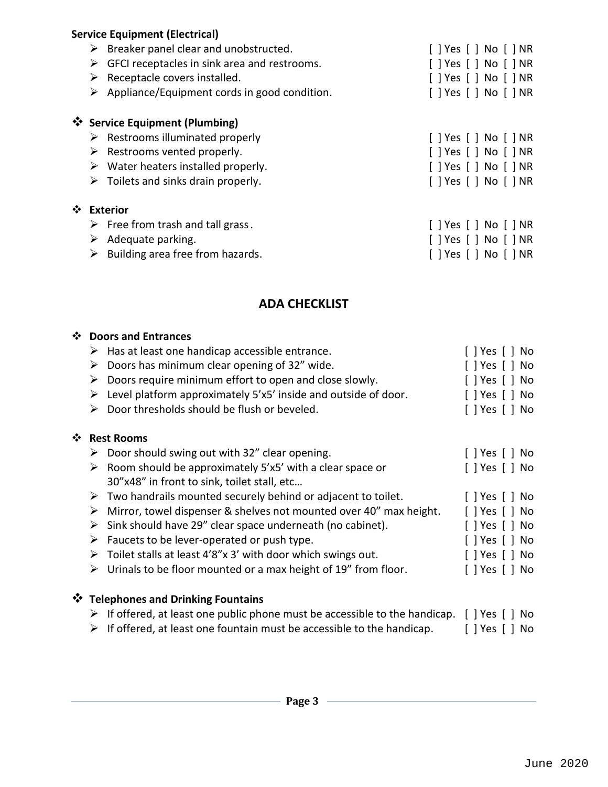| <b>Service Equipment (Electrical)</b>                                                                                                                                                                                         |                                                                                                                                            |
|-------------------------------------------------------------------------------------------------------------------------------------------------------------------------------------------------------------------------------|--------------------------------------------------------------------------------------------------------------------------------------------|
| $\triangleright$ Breaker panel clear and unobstructed.<br>GFCI receptacles in sink area and restrooms.<br>➤<br>$\triangleright$ Receptacle covers installed.<br>$\triangleright$ Appliance/Equipment cords in good condition. | $\lceil$   Yes $\lceil$   No $\lceil$   NR<br>$\lceil$   Yes $\lceil$   No $\lceil$   NR<br>[ ] Yes [ ] No [ ] NR<br>[ ] Yes [ ] No [ ] NR |
| ❖ Service Equipment (Plumbing)                                                                                                                                                                                                |                                                                                                                                            |
| $\triangleright$ Restrooms illuminated properly                                                                                                                                                                               | $\lceil$   Yes $\lceil$   No $\lceil$   NR                                                                                                 |
| $\triangleright$ Restrooms vented properly.                                                                                                                                                                                   | $\lceil$   Yes $\lceil$   No $\lceil$   NR                                                                                                 |
| $\triangleright$ Water heaters installed properly.                                                                                                                                                                            | [ ] Yes [ ] No [ ] NR                                                                                                                      |
| $\triangleright$ Toilets and sinks drain properly.                                                                                                                                                                            | [ ] Yes [ ] No [ ] NR                                                                                                                      |
| ❖ Exterior                                                                                                                                                                                                                    |                                                                                                                                            |
| $\triangleright$ Free from trash and tall grass.                                                                                                                                                                              | $\lceil$   Yes $\lceil$   No $\lceil$   NR                                                                                                 |
| $\triangleright$ Adequate parking.                                                                                                                                                                                            | $\lceil$   Yes $\lceil$   No $\lceil$   NR                                                                                                 |
| Building area free from hazards.                                                                                                                                                                                              |                                                                                                                                            |

### **ADA CHECKLIST**

#### **Doors and Entrances**

|           |                   | $\triangleright$ Has at least one handicap accessible entrance.                                           |                |
|-----------|-------------------|-----------------------------------------------------------------------------------------------------------|----------------|
|           | ➤                 | Doors has minimum clear opening of 32" wide.                                                              |                |
|           | ➤                 | Doors require minimum effort to open and close slowly.                                                    | [ ] Yes [ ] No |
|           | ➤                 | Level platform approximately 5'x5' inside and outside of door.                                            | Yes     No     |
|           | ➤                 | Door thresholds should be flush or beveled.                                                               | [ ] Yes [ ] No |
| $\bullet$ | <b>Rest Rooms</b> |                                                                                                           |                |
|           |                   | $\triangleright$ Door should swing out with 32" clear opening.                                            | [ ] Yes [ ] No |
|           |                   | $\triangleright$ Room should be approximately 5'x5' with a clear space or                                 |                |
|           |                   | 30"x48" in front to sink, toilet stall, etc                                                               |                |
|           |                   | $\triangleright$ Two handrails mounted securely behind or adjacent to toilet.                             | Yes     No     |
|           | ➤                 | Mirror, towel dispenser & shelves not mounted over 40" max height.                                        | [   Yes [   No |
|           | ➤                 | Sink should have 29" clear space underneath (no cabinet).                                                 | [ ] Yes [ ] No |
|           | ➤                 | Faucets to be lever-operated or push type.                                                                | [   Yes [   No |
|           | ➤                 | Toilet stalls at least 4'8"x 3' with door which swings out.                                               |                |
|           |                   | $\triangleright$ Urinals to be floor mounted or a max height of 19" from floor.                           | [ ] Yes [ ] No |
|           |                   | <b><sup>◆</sup></b> Telephones and Drinking Fountains                                                     |                |
|           |                   | $\triangleright$ If offered, at least one public phone must be accessible to the handicap. [ ] Yes [ ] No |                |
|           |                   | $\triangleright$ If offered, at least one fountain must be accessible to the handicap.                    | [ ] Yes [ ] No |